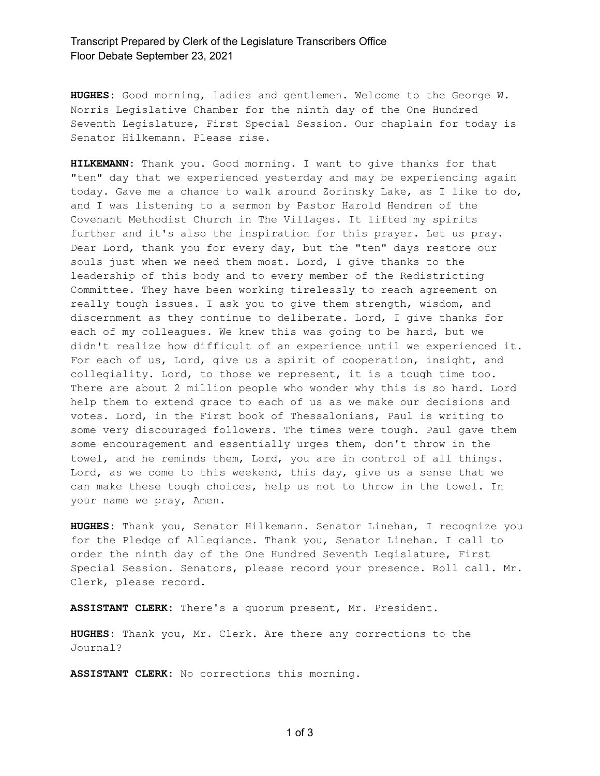## Transcript Prepared by Clerk of the Legislature Transcribers Office Floor Debate September 23, 2021

**HUGHES:** Good morning, ladies and gentlemen. Welcome to the George W. Norris Legislative Chamber for the ninth day of the One Hundred Seventh Legislature, First Special Session. Our chaplain for today is Senator Hilkemann. Please rise.

**HILKEMANN:** Thank you. Good morning. I want to give thanks for that "ten" day that we experienced yesterday and may be experiencing again today. Gave me a chance to walk around Zorinsky Lake, as I like to do, and I was listening to a sermon by Pastor Harold Hendren of the Covenant Methodist Church in The Villages. It lifted my spirits further and it's also the inspiration for this prayer. Let us pray. Dear Lord, thank you for every day, but the "ten" days restore our souls just when we need them most. Lord, I give thanks to the leadership of this body and to every member of the Redistricting Committee. They have been working tirelessly to reach agreement on really tough issues. I ask you to give them strength, wisdom, and discernment as they continue to deliberate. Lord, I give thanks for each of my colleagues. We knew this was going to be hard, but we didn't realize how difficult of an experience until we experienced it. For each of us, Lord, give us a spirit of cooperation, insight, and collegiality. Lord, to those we represent, it is a tough time too. There are about 2 million people who wonder why this is so hard. Lord help them to extend grace to each of us as we make our decisions and votes. Lord, in the First book of Thessalonians, Paul is writing to some very discouraged followers. The times were tough. Paul gave them some encouragement and essentially urges them, don't throw in the towel, and he reminds them, Lord, you are in control of all things. Lord, as we come to this weekend, this day, give us a sense that we can make these tough choices, help us not to throw in the towel. In your name we pray, Amen.

**HUGHES:** Thank you, Senator Hilkemann. Senator Linehan, I recognize you for the Pledge of Allegiance. Thank you, Senator Linehan. I call to order the ninth day of the One Hundred Seventh Legislature, First Special Session. Senators, please record your presence. Roll call. Mr. Clerk, please record.

**ASSISTANT CLERK:** There's a quorum present, Mr. President.

**HUGHES:** Thank you, Mr. Clerk. Are there any corrections to the Journal?

**ASSISTANT CLERK:** No corrections this morning.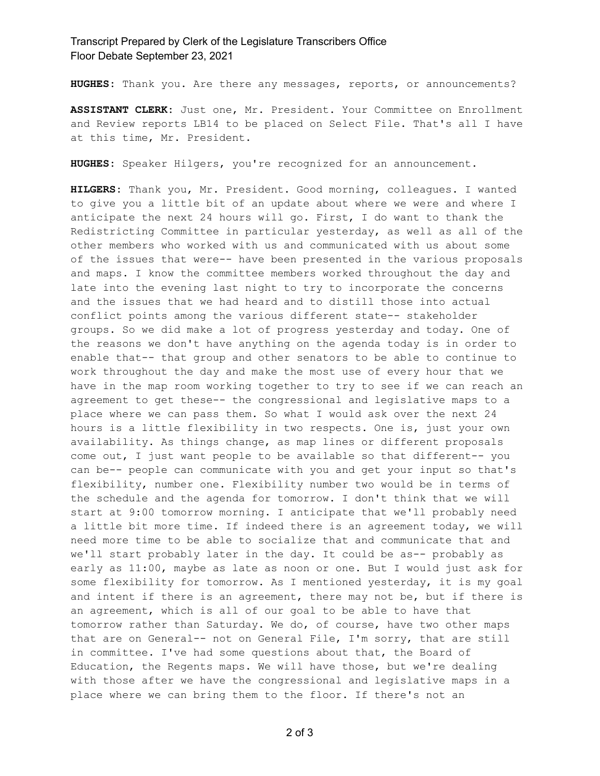Transcript Prepared by Clerk of the Legislature Transcribers Office Floor Debate September 23, 2021

**HUGHES:** Thank you. Are there any messages, reports, or announcements?

**ASSISTANT CLERK:** Just one, Mr. President. Your Committee on Enrollment and Review reports LB14 to be placed on Select File. That's all I have at this time, Mr. President.

**HUGHES:** Speaker Hilgers, you're recognized for an announcement.

**HILGERS:** Thank you, Mr. President. Good morning, colleagues. I wanted to give you a little bit of an update about where we were and where I anticipate the next 24 hours will go. First, I do want to thank the Redistricting Committee in particular yesterday, as well as all of the other members who worked with us and communicated with us about some of the issues that were-- have been presented in the various proposals and maps. I know the committee members worked throughout the day and late into the evening last night to try to incorporate the concerns and the issues that we had heard and to distill those into actual conflict points among the various different state-- stakeholder groups. So we did make a lot of progress yesterday and today. One of the reasons we don't have anything on the agenda today is in order to enable that-- that group and other senators to be able to continue to work throughout the day and make the most use of every hour that we have in the map room working together to try to see if we can reach an agreement to get these-- the congressional and legislative maps to a place where we can pass them. So what I would ask over the next 24 hours is a little flexibility in two respects. One is, just your own availability. As things change, as map lines or different proposals come out, I just want people to be available so that different-- you can be-- people can communicate with you and get your input so that's flexibility, number one. Flexibility number two would be in terms of the schedule and the agenda for tomorrow. I don't think that we will start at 9:00 tomorrow morning. I anticipate that we'll probably need a little bit more time. If indeed there is an agreement today, we will need more time to be able to socialize that and communicate that and we'll start probably later in the day. It could be as-- probably as early as 11:00, maybe as late as noon or one. But I would just ask for some flexibility for tomorrow. As I mentioned yesterday, it is my goal and intent if there is an agreement, there may not be, but if there is an agreement, which is all of our goal to be able to have that tomorrow rather than Saturday. We do, of course, have two other maps that are on General-- not on General File, I'm sorry, that are still in committee. I've had some questions about that, the Board of Education, the Regents maps. We will have those, but we're dealing with those after we have the congressional and legislative maps in a place where we can bring them to the floor. If there's not an